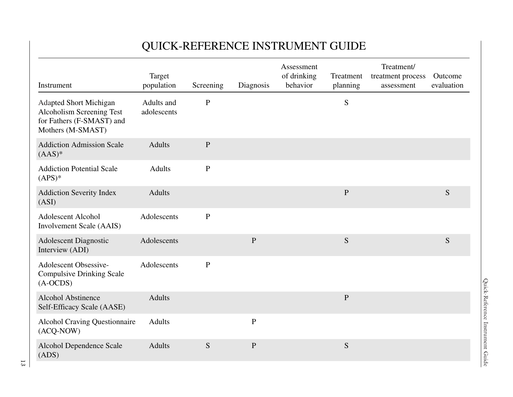|                                                                                                              |                           |              |              | <b>QUICK-REFERENCE INSTRUMENT GUIDE</b> |                       |                                               |                       |
|--------------------------------------------------------------------------------------------------------------|---------------------------|--------------|--------------|-----------------------------------------|-----------------------|-----------------------------------------------|-----------------------|
| Instrument                                                                                                   | Target<br>population      | Screening    | Diagnosis    | Assessment<br>of drinking<br>behavior   | Treatment<br>planning | Treatment/<br>treatment process<br>assessment | Outcome<br>evaluation |
| <b>Adapted Short Michigan</b><br>Alcoholism Screening Test<br>for Fathers (F-SMAST) and<br>Mothers (M-SMAST) | Adults and<br>adolescents | ${\bf P}$    |              |                                         | S                     |                                               |                       |
| <b>Addiction Admission Scale</b><br>$(AAS)*$                                                                 | <b>Adults</b>             | $\mathbf{P}$ |              |                                         |                       |                                               |                       |
| <b>Addiction Potential Scale</b><br>$(APS)*$                                                                 | <b>Adults</b>             | $\mathbf{P}$ |              |                                         |                       |                                               |                       |
| <b>Addiction Severity Index</b><br>(ASI)                                                                     | <b>Adults</b>             |              |              |                                         | ${\bf P}$             |                                               | S                     |
| <b>Adolescent Alcohol</b><br><b>Involvement Scale (AAIS)</b>                                                 | Adolescents               | ${\bf P}$    |              |                                         |                       |                                               |                       |
| <b>Adolescent Diagnostic</b><br>Interview (ADI)                                                              | Adolescents               |              | $\mathbf{P}$ |                                         | S                     |                                               | ${\mathbf S}$         |
| <b>Adolescent Obsessive-</b><br><b>Compulsive Drinking Scale</b><br>$(A-OCDS)$                               | Adolescents               | ${\bf P}$    |              |                                         |                       |                                               |                       |
| <b>Alcohol Abstinence</b><br>Self-Efficacy Scale (AASE)                                                      | <b>Adults</b>             |              |              |                                         | $\overline{P}$        |                                               |                       |
| <b>Alcohol Craving Questionnaire</b><br>(ACQ-NOW)                                                            | <b>Adults</b>             |              | $\, {\bf P}$ |                                         |                       |                                               |                       |
| <b>Alcohol Dependence Scale</b><br>(ADS)                                                                     | <b>Adults</b>             | S            | $\mathbf{P}$ |                                         | S                     |                                               |                       |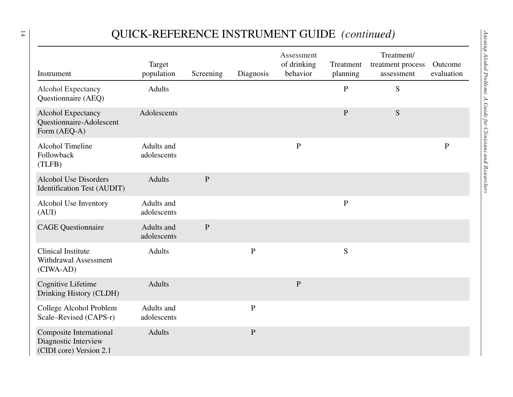## QUICK-REFERENCE INSTRUMENT GUIDE *(continued)*

| Instrument                                                                        | Target<br>population      | Screening    | Diagnosis    | Assessment<br>of drinking<br>behavior | Treatment<br>planning | Treatment/<br>treatment process<br>assessment | Outcome<br>evaluation |
|-----------------------------------------------------------------------------------|---------------------------|--------------|--------------|---------------------------------------|-----------------------|-----------------------------------------------|-----------------------|
| Alcohol Expectancy<br>Questionnaire (AEQ)                                         | <b>Adults</b>             |              |              |                                       | ${\bf P}$             | S                                             |                       |
| Alcohol Expectancy<br>Questionnaire-Adolescent<br>Form (AEQ-A)                    | Adolescents               |              |              |                                       | $\mathbf{P}$          | S                                             |                       |
| <b>Alcohol Timeline</b><br>Followback<br>(TLFB)                                   | Adults and<br>adolescents |              |              | ${\bf P}$                             |                       |                                               | $\, {\bf P}$          |
| <b>Alcohol Use Disorders</b><br>Identification Test (AUDIT)                       | <b>Adults</b>             | $\mathbf{P}$ |              |                                       |                       |                                               |                       |
| Alcohol Use Inventory<br>(AUI)                                                    | Adults and<br>adolescents |              |              |                                       | $\mathbf{P}$          |                                               |                       |
| <b>CAGE Questionnaire</b>                                                         | Adults and<br>adolescents | $\mathbf{P}$ |              |                                       |                       |                                               |                       |
| <b>Clinical Institute</b><br><b>Withdrawal Assessment</b><br>(CIWA-AD)            | <b>Adults</b>             |              | $\mathbf{P}$ |                                       | S                     |                                               |                       |
| Cognitive Lifetime<br>Drinking History (CLDH)                                     | <b>Adults</b>             |              |              | ${\bf P}$                             |                       |                                               |                       |
| College Alcohol Problem<br>Scale–Revised (CAPS-r)                                 | Adults and<br>adolescents |              | ${\bf P}$    |                                       |                       |                                               |                       |
| <b>Composite International</b><br>Diagnostic Interview<br>(CIDI core) Version 2.1 | <b>Adults</b>             |              | $\, {\bf P}$ |                                       |                       |                                               |                       |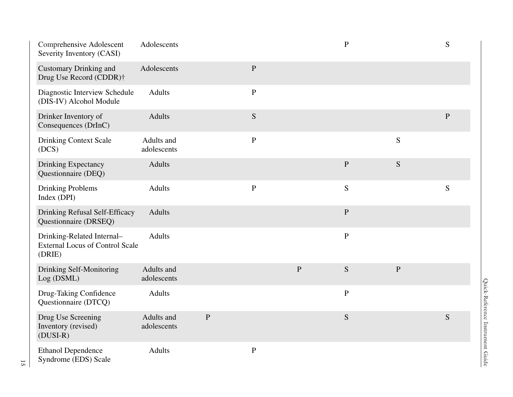| Comprehensive Adolescent<br>Severity Inventory (CASI)                          | Adolescents               |              |               |                | $\mathbf P$  |               | S         |
|--------------------------------------------------------------------------------|---------------------------|--------------|---------------|----------------|--------------|---------------|-----------|
| <b>Customary Drinking and</b><br>Drug Use Record (CDDR)†                       | Adolescents               |              | $\mathbf{P}$  |                |              |               |           |
| Diagnostic Interview Schedule<br>(DIS-IV) Alcohol Module                       | <b>Adults</b>             |              | $\mathbf P$   |                |              |               |           |
| Drinker Inventory of<br>Consequences (DrInC)                                   | <b>Adults</b>             |              | ${\mathbf S}$ |                |              |               | ${\bf P}$ |
| <b>Drinking Context Scale</b><br>(DCS)                                         | Adults and<br>adolescents |              | $\mathbf P$   |                |              | ${\mathbf S}$ |           |
| <b>Drinking Expectancy</b><br>Questionnaire (DEQ)                              | <b>Adults</b>             |              |               |                | $\mathbf{P}$ | ${\bf S}$     |           |
| <b>Drinking Problems</b><br>Index (DPI)                                        | <b>Adults</b>             |              | $\mathbf P$   |                | S            |               | S         |
| Drinking Refusal Self-Efficacy<br>Questionnaire (DRSEQ)                        | <b>Adults</b>             |              |               |                | $\mathbf{P}$ |               |           |
| Drinking-Related Internal-<br><b>External Locus of Control Scale</b><br>(DRIE) | <b>Adults</b>             |              |               |                | $\, {\bf P}$ |               |           |
| Drinking Self-Monitoring<br>Log (DSML)                                         | Adults and<br>adolescents |              |               | $\overline{P}$ | S            | $\mathbf{P}$  |           |
| Drug-Taking Confidence<br>Questionnaire (DTCQ)                                 | <b>Adults</b>             |              |               |                | $\mathbf P$  |               |           |
| Drug Use Screening<br>Inventory (revised)<br>$(DUSI-R)$                        | Adults and<br>adolescents | $\mathbf{P}$ |               |                | S            |               | S         |
| <b>Ethanol Dependence</b><br>Syndrome (EDS) Scale                              | <b>Adults</b>             |              | $\, {\bf P}$  |                |              |               |           |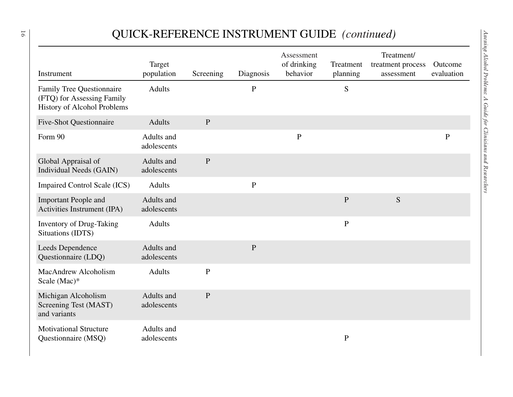## QUICK-REFERENCE INSTRUMENT GUIDE *(continued)*

| Instrument                                                                                           | Target<br>population      | Screening    | Diagnosis   | Assessment<br>of drinking<br>behavior | Treatment<br>planning | Treatment/<br>treatment process<br>assessment | Outcome<br>evaluation |
|------------------------------------------------------------------------------------------------------|---------------------------|--------------|-------------|---------------------------------------|-----------------------|-----------------------------------------------|-----------------------|
| <b>Family Tree Questionnaire</b><br>(FTQ) for Assessing Family<br><b>History of Alcohol Problems</b> | <b>Adults</b>             |              | ${\bf P}$   |                                       | ${\mathbf S}$         |                                               |                       |
| <b>Five-Shot Questionnaire</b>                                                                       | <b>Adults</b>             | $\mathbf P$  |             |                                       |                       |                                               |                       |
| Form 90                                                                                              | Adults and<br>adolescents |              |             | $\mathbf{P}$                          |                       |                                               | $\mathbf{P}$          |
| Global Appraisal of<br>Individual Needs (GAIN)                                                       | Adults and<br>adolescents | $\mathbf{P}$ |             |                                       |                       |                                               |                       |
| <b>Impaired Control Scale (ICS)</b>                                                                  | <b>Adults</b>             |              | ${\bf P}$   |                                       |                       |                                               |                       |
| <b>Important People and</b><br>Activities Instrument (IPA)                                           | Adults and<br>adolescents |              |             |                                       | ${\bf P}$             | S                                             |                       |
| <b>Inventory of Drug-Taking</b><br>Situations (IDTS)                                                 | <b>Adults</b>             |              |             |                                       | $\mathbf P$           |                                               |                       |
| Leeds Dependence<br>Questionnaire (LDQ)                                                              | Adults and<br>adolescents |              | $\mathbf P$ |                                       |                       |                                               |                       |
| MacAndrew Alcoholism<br>Scale (Mac)*                                                                 | <b>Adults</b>             | ${\bf P}$    |             |                                       |                       |                                               |                       |
| Michigan Alcoholism<br>Screening Test (MAST)<br>and variants                                         | Adults and<br>adolescents | ${\bf P}$    |             |                                       |                       |                                               |                       |
| <b>Motivational Structure</b><br>Questionnaire (MSQ)                                                 | Adults and<br>adolescents |              |             |                                       | ${\bf P}$             |                                               |                       |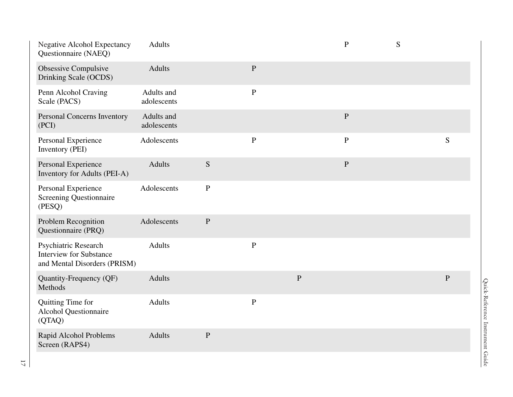| <b>Negative Alcohol Expectancy</b><br>Questionnaire (NAEQ)                             | <b>Adults</b>             |           |              |           | $\mathbf{P}$ | S |           |
|----------------------------------------------------------------------------------------|---------------------------|-----------|--------------|-----------|--------------|---|-----------|
| <b>Obsessive Compulsive</b><br>Drinking Scale (OCDS)                                   | <b>Adults</b>             |           | ${\bf P}$    |           |              |   |           |
| Penn Alcohol Craving<br>Scale (PACS)                                                   | Adults and<br>adolescents |           | $\mathbf{P}$ |           |              |   |           |
| Personal Concerns Inventory<br>(PCI)                                                   | Adults and<br>adolescents |           |              |           | ${\bf P}$    |   |           |
| Personal Experience<br>Inventory (PEI)                                                 | Adolescents               |           | ${\bf P}$    |           | ${\bf P}$    |   | ${\bf S}$ |
| Personal Experience<br>Inventory for Adults (PEI-A)                                    | <b>Adults</b>             | ${\bf S}$ |              |           | ${\bf P}$    |   |           |
| Personal Experience<br><b>Screening Questionnaire</b><br>(PESQ)                        | Adolescents               | ${\bf P}$ |              |           |              |   |           |
| Problem Recognition<br>Questionnaire (PRQ)                                             | Adolescents               | ${\bf P}$ |              |           |              |   |           |
| Psychiatric Research<br><b>Interview for Substance</b><br>and Mental Disorders (PRISM) | <b>Adults</b>             |           | ${\bf P}$    |           |              |   |           |
| Quantity-Frequency (QF)<br>Methods                                                     | <b>Adults</b>             |           |              | ${\bf P}$ |              |   | ${\bf P}$ |
| Quitting Time for<br><b>Alcohol Questionnaire</b><br>(QTAQ)                            | <b>Adults</b>             |           | $\mathbf{P}$ |           |              |   |           |
| Rapid Alcohol Problems<br>Screen (RAPS4)                                               | <b>Adults</b>             | ${\bf P}$ |              |           |              |   |           |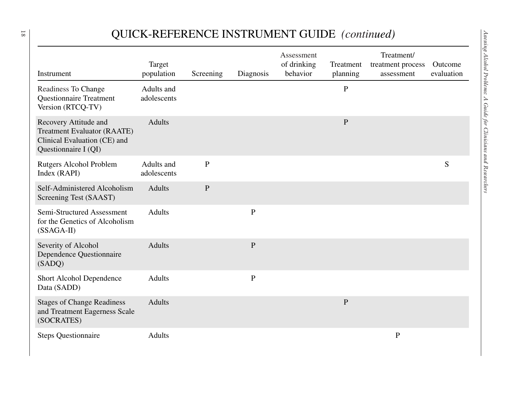## QUICK-REFERENCE INSTRUMENT GUIDE *(continued)*

|                                                                                                                     | Target                    |             |              | Assessment<br>of drinking | Treatment    | Treatment/<br>treatment process | Outcome    |
|---------------------------------------------------------------------------------------------------------------------|---------------------------|-------------|--------------|---------------------------|--------------|---------------------------------|------------|
| Instrument                                                                                                          | population                | Screening   | Diagnosis    | behavior                  | planning     | assessment                      | evaluation |
| Readiness To Change<br><b>Questionnaire Treatment</b><br>Version (RTCQ-TV)                                          | Adults and<br>adolescents |             |              |                           | ${\bf P}$    |                                 |            |
| Recovery Attitude and<br><b>Treatment Evaluator (RAATE)</b><br>Clinical Evaluation (CE) and<br>Questionnaire I (QI) | <b>Adults</b>             |             |              |                           | ${\bf P}$    |                                 |            |
| <b>Rutgers Alcohol Problem</b><br>Index (RAPI)                                                                      | Adults and<br>adolescents | ${\bf P}$   |              |                           |              |                                 | S          |
| Self-Administered Alcoholism<br>Screening Test (SAAST)                                                              | <b>Adults</b>             | $\mathbf P$ |              |                           |              |                                 |            |
| Semi-Structured Assessment<br>for the Genetics of Alcoholism<br>$(SSAGA-II)$                                        | <b>Adults</b>             |             | $\mathbf{P}$ |                           |              |                                 |            |
| Severity of Alcohol<br>Dependence Questionnaire<br>(SADQ)                                                           | <b>Adults</b>             |             | ${\bf P}$    |                           |              |                                 |            |
| Short Alcohol Dependence<br>Data (SADD)                                                                             | <b>Adults</b>             |             | ${\bf P}$    |                           |              |                                 |            |
| <b>Stages of Change Readiness</b><br>and Treatment Eagerness Scale<br>(SOCRATES)                                    | <b>Adults</b>             |             |              |                           | $\, {\bf P}$ |                                 |            |
| <b>Steps Questionnaire</b>                                                                                          | <b>Adults</b>             |             |              |                           |              | $\mathbf{P}$                    |            |